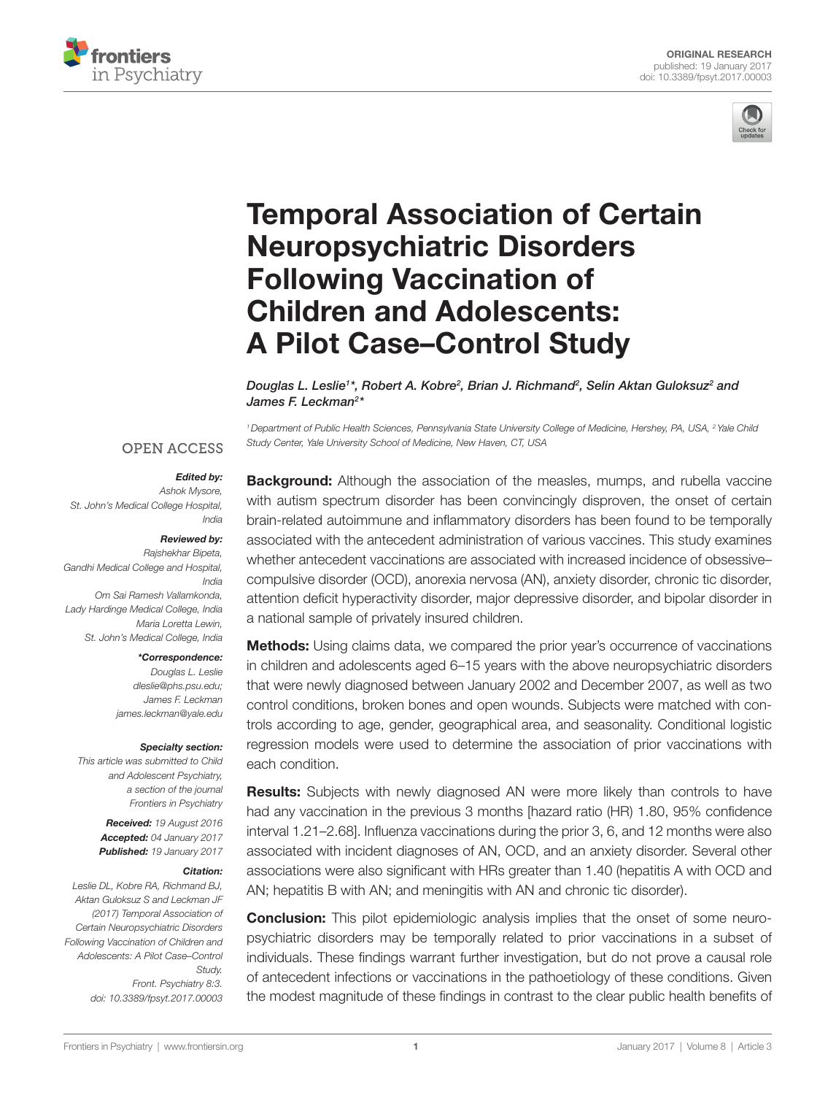



# **Temporal Association of Certain Neuropsychiatric Disorders** [Following Vaccination of](http://www.frontiersin.org/Journal/10.3389/fpsyt.2017.00003/abstract)  **Children and Adolescents:** A Pilot Case-Control Study

*[Douglas L. Leslie](http://loop.frontiersin.org/people/404984)1 \*, [Robert A. Kobre](http://loop.frontiersin.org/people/405253)2 , [Brian J. Richmand2](http://loop.frontiersin.org/people/404985) , [Selin Aktan Guloksuz](http://loop.frontiersin.org/people/369976)2 and [James F. Leckman2](http://loop.frontiersin.org/people/291934) \**

*1Department of Public Health Sciences, Pennsylvania State University College of Medicine, Hershey, PA, USA, 2Yale Child Study Center, Yale University School of Medicine, New Haven, CT, USA*

#### **OPEN ACCESS**

#### *Edited by:*

*Ashok Mysore, St. John's Medical College Hospital, India*

#### *Reviewed by:*

*Rajshekhar Bipeta, Gandhi Medical College and Hospital, India Om Sai Ramesh Vallamkonda, Lady Hardinge Medical College, India Maria Loretta Lewin, St. John's Medical College, India*

#### *\*Correspondence:*

*Douglas L. Leslie [dleslie@phs.psu.edu;](mailto:dleslie@phs.psu.edu) James F. Leckman [james.leckman@yale.edu](mailto:james.leckman@yale.edu)*

#### *Specialty section:*

*This article was submitted to Child and Adolescent Psychiatry, a section of the journal Frontiers in Psychiatry*

> *Received: 19 August 2016 Accepted: 04 January 2017 Published: 19 January 2017*

#### *Citation:*

*Leslie DL, Kobre RA, Richmand BJ, Aktan Guloksuz S and Leckman JF (2017) Temporal Association of Certain Neuropsychiatric Disorders Following Vaccination of Children and Adolescents: A Pilot Case–Control Study. Front. Psychiatry 8:3. doi: [10.3389/fpsyt.2017.00003](https://doi.org/10.3389/fpsyt.2017.00003)*

**Background:** Although the association of the measles, mumps, and rubella vaccine with autism spectrum disorder has been convincingly disproven, the onset of certain brain-related autoimmune and inflammatory disorders has been found to be temporally associated with the antecedent administration of various vaccines. This study examines whether antecedent vaccinations are associated with increased incidence of obsessive– compulsive disorder (OCD), anorexia nervosa (AN), anxiety disorder, chronic tic disorder, attention deficit hyperactivity disorder, major depressive disorder, and bipolar disorder in a national sample of privately insured children.

**Methods:** Using claims data, we compared the prior year's occurrence of vaccinations in children and adolescents aged 6–15 years with the above neuropsychiatric disorders that were newly diagnosed between January 2002 and December 2007, as well as two control conditions, broken bones and open wounds. Subjects were matched with controls according to age, gender, geographical area, and seasonality. Conditional logistic regression models were used to determine the association of prior vaccinations with each condition.

**Results:** Subjects with newly diagnosed AN were more likely than controls to have had any vaccination in the previous 3 months [hazard ratio (HR) 1.80, 95% confidence interval 1.21–2.68]. Influenza vaccinations during the prior 3, 6, and 12 months were also associated with incident diagnoses of AN, OCD, and an anxiety disorder. Several other associations were also significant with HRs greater than 1.40 (hepatitis A with OCD and AN; hepatitis B with AN; and meningitis with AN and chronic tic disorder).

**Conclusion:** This pilot epidemiologic analysis implies that the onset of some neuropsychiatric disorders may be temporally related to prior vaccinations in a subset of individuals. These findings warrant further investigation, but do not prove a causal role of antecedent infections or vaccinations in the pathoetiology of these conditions. Given the modest magnitude of these findings in contrast to the clear public health benefits of

1 [January 2017](http://www.frontiersin.org/Psychiatry/archive) | Volume 8 | Article 3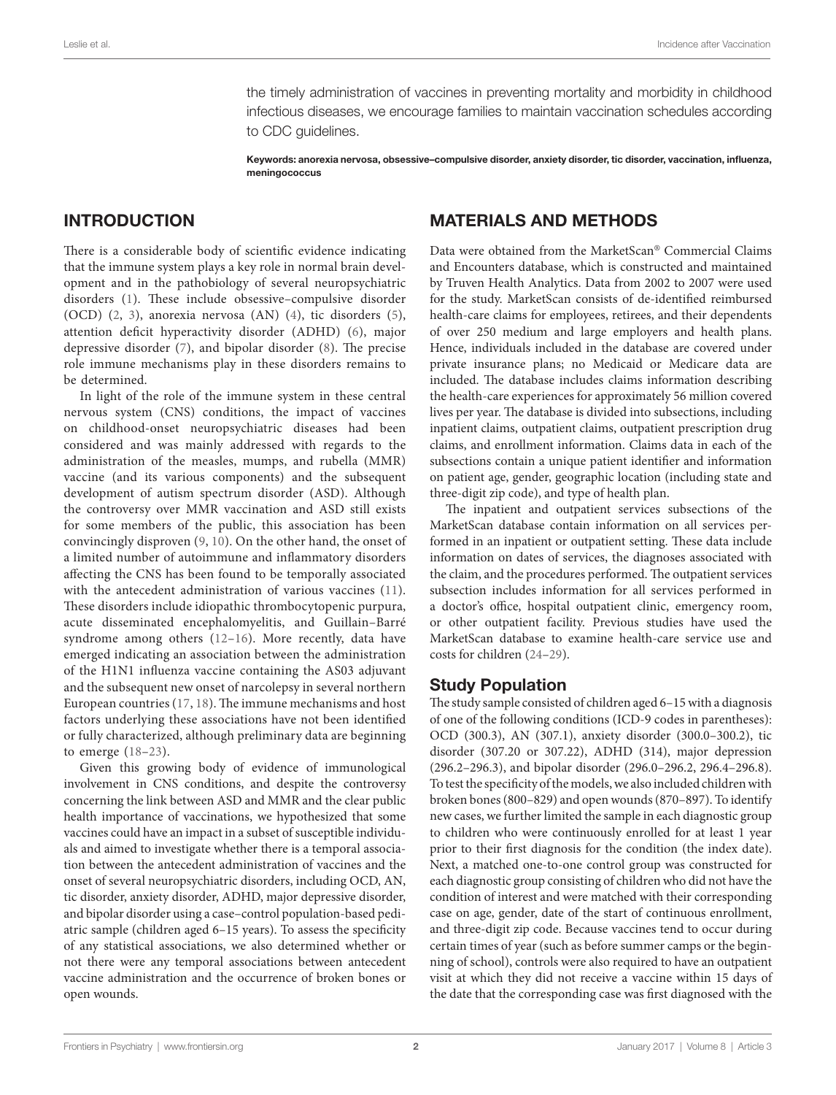the timely administration of vaccines in preventing mortality and morbidity in childhood infectious diseases, we encourage families to maintain vaccination schedules according to CDC guidelines.

Keywords: anorexia nervosa, obsessive–compulsive disorder, anxiety disorder, tic disorder, vaccination, influenza, meningococcus

# INTRODUCTION

There is a considerable body of scientific evidence indicating that the immune system plays a key role in normal brain development and in the pathobiology of several neuropsychiatric disorders ([1\)](#page-6-0). These include obsessive–compulsive disorder (OCD) ([2](#page-6-1), [3](#page-6-2)), anorexia nervosa (AN) ([4](#page-6-3)), tic disorders ([5\)](#page-6-4), attention deficit hyperactivity disorder (ADHD) ([6\)](#page-6-5), major depressive disorder [\(7\)](#page-6-6), and bipolar disorder ([8](#page-6-7)). The precise role immune mechanisms play in these disorders remains to be determined.

In light of the role of the immune system in these central nervous system (CNS) conditions, the impact of vaccines on childhood-onset neuropsychiatric diseases had been considered and was mainly addressed with regards to the administration of the measles, mumps, and rubella (MMR) vaccine (and its various components) and the subsequent development of autism spectrum disorder (ASD). Although the controversy over MMR vaccination and ASD still exists for some members of the public, this association has been convincingly disproven ([9](#page-6-8), [10](#page-6-9)). On the other hand, the onset of a limited number of autoimmune and inflammatory disorders affecting the CNS has been found to be temporally associated with the antecedent administration of various vaccines [\(11\)](#page-6-10). These disorders include idiopathic thrombocytopenic purpura, acute disseminated encephalomyelitis, and Guillain–Barré syndrome among others ([12](#page-6-11)[–16\)](#page-6-12). More recently, data have emerged indicating an association between the administration of the H1N1 influenza vaccine containing the AS03 adjuvant and the subsequent new onset of narcolepsy in several northern European countries ([17](#page-6-13), [18\)](#page-6-14). The immune mechanisms and host factors underlying these associations have not been identified or fully characterized, although preliminary data are beginning to emerge ([18](#page-6-14)[–23](#page-6-15)).

Given this growing body of evidence of immunological involvement in CNS conditions, and despite the controversy concerning the link between ASD and MMR and the clear public health importance of vaccinations, we hypothesized that some vaccines could have an impact in a subset of susceptible individuals and aimed to investigate whether there is a temporal association between the antecedent administration of vaccines and the onset of several neuropsychiatric disorders, including OCD, AN, tic disorder, anxiety disorder, ADHD, major depressive disorder, and bipolar disorder using a case–control population-based pediatric sample (children aged 6–15 years). To assess the specificity of any statistical associations, we also determined whether or not there were any temporal associations between antecedent vaccine administration and the occurrence of broken bones or open wounds.

# MATERIALS AND METHODS

Data were obtained from the MarketScan® Commercial Claims and Encounters database, which is constructed and maintained by Truven Health Analytics. Data from 2002 to 2007 were used for the study. MarketScan consists of de-identified reimbursed health-care claims for employees, retirees, and their dependents of over 250 medium and large employers and health plans. Hence, individuals included in the database are covered under private insurance plans; no Medicaid or Medicare data are included. The database includes claims information describing the health-care experiences for approximately 56 million covered lives per year. The database is divided into subsections, including inpatient claims, outpatient claims, outpatient prescription drug claims, and enrollment information. Claims data in each of the subsections contain a unique patient identifier and information on patient age, gender, geographic location (including state and three-digit zip code), and type of health plan.

The inpatient and outpatient services subsections of the MarketScan database contain information on all services performed in an inpatient or outpatient setting. These data include information on dates of services, the diagnoses associated with the claim, and the procedures performed. The outpatient services subsection includes information for all services performed in a doctor's office, hospital outpatient clinic, emergency room, or other outpatient facility. Previous studies have used the MarketScan database to examine health-care service use and costs for children [\(24](#page-6-16)[–29](#page-6-17)).

# Study Population

The study sample consisted of children aged 6–15 with a diagnosis of one of the following conditions (ICD-9 codes in parentheses): OCD (300.3), AN (307.1), anxiety disorder (300.0–300.2), tic disorder (307.20 or 307.22), ADHD (314), major depression (296.2–296.3), and bipolar disorder (296.0–296.2, 296.4–296.8). To test the specificity of the models, we also included children with broken bones (800–829) and open wounds (870–897). To identify new cases, we further limited the sample in each diagnostic group to children who were continuously enrolled for at least 1 year prior to their first diagnosis for the condition (the index date). Next, a matched one-to-one control group was constructed for each diagnostic group consisting of children who did not have the condition of interest and were matched with their corresponding case on age, gender, date of the start of continuous enrollment, and three-digit zip code. Because vaccines tend to occur during certain times of year (such as before summer camps or the beginning of school), controls were also required to have an outpatient visit at which they did not receive a vaccine within 15 days of the date that the corresponding case was first diagnosed with the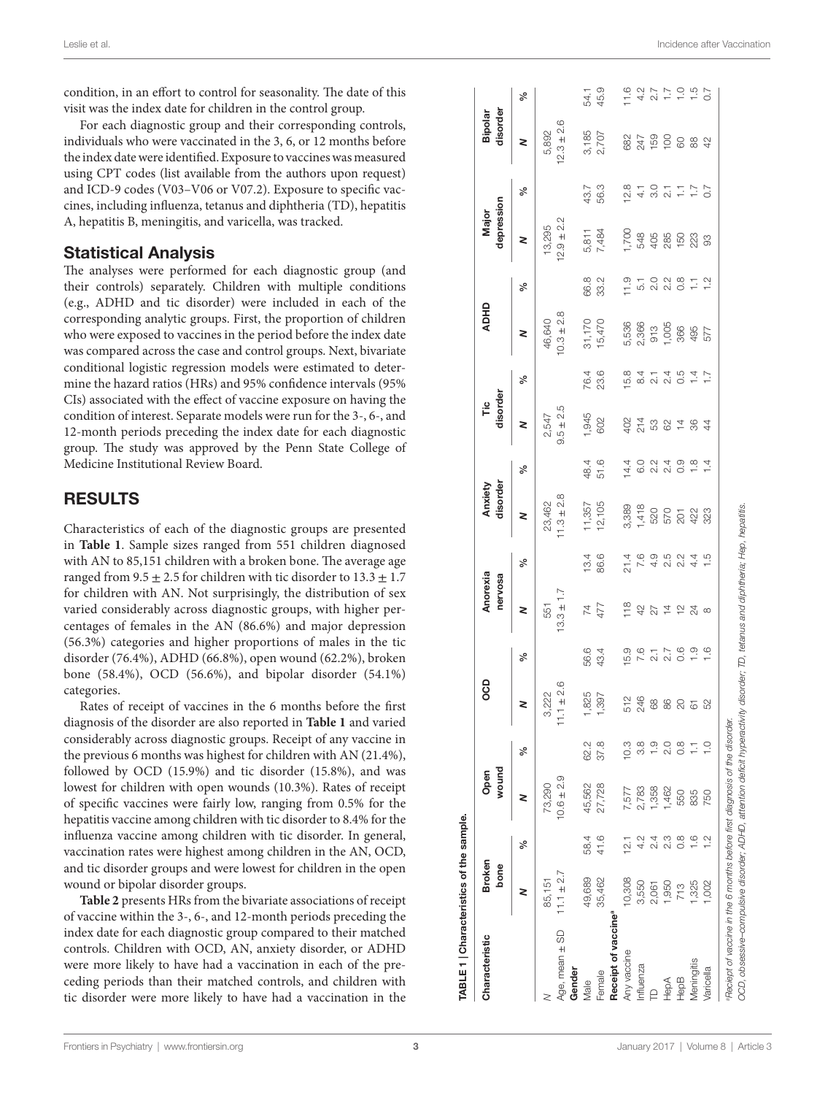condition, in an effort to control for seasonality. The date of this visit was the index date for children in the control group.

For each diagnostic group and their corresponding controls, individuals who were vaccinated in the 3, 6, or 12 months before the index date were identified. Exposure to vaccines was measured using CPT codes (list available from the authors upon request) and ICD-9 codes (V03–V06 or V07.2). Exposure to specific vaccines, including influenza, tetanus and diphtheria (TD), hepatitis A, hepatitis B, meningitis, and varicella, was tracked.

## Statistical Analysis

The analyses were performed for each diagnostic group (and their controls) separately. Children with multiple conditions (e.g., ADHD and tic disorder) were included in each of the corresponding analytic groups. First, the proportion of children who were exposed to vaccines in the period before the index date was compared across the case and control groups. Next, bivariate conditional logistic regression models were estimated to determine the hazard ratios (HRs) and 95% confidence intervals (95% CIs) associated with the effect of vaccine exposure on having the condition of interest. Separate models were run for the 3-, 6-, and 12-month periods preceding the index date for each diagnostic group. The study was approved by the Penn State College of Medicine Institutional Review Board.

## RESULTS

Characteristics of each of the diagnostic groups are presented in **[Table 1](#page-2-0)**. Sample sizes ranged from 551 children diagnosed with AN to 85,151 children with a broken bone. The average age ranged from 9.5  $\pm$  2.5 for children with tic disorder to 13.3  $\pm$  1.7 for children with AN. Not surprisingly, the distribution of sex varied considerably across diagnostic groups, with higher percentages of females in the AN (86.6%) and major depression (56.3%) categories and higher proportions of males in the tic disorder (76.4%), ADHD (66.8%), open wound (62.2%), broken bone (58.4%), OCD (56.6%), and bipolar disorder (54.1%) categories.

Rates of receipt of vaccines in the 6 months before the first diagnosis of the disorder are also reported in **[Table 1](#page-2-0)** and varied considerably across diagnostic groups. Receipt of any vaccine in the previous 6 months was highest for children with AN (21.4%), followed by OCD (15.9%) and tic disorder (15.8%), and was lowest for children with open wounds (10.3%). Rates of receipt of specific vaccines were fairly low, ranging from 0.5% for the hepatitis vaccine among children with tic disorder to 8.4% for the influenza vaccine among children with tic disorder. In general, vaccination rates were highest among children in the AN, OCD, and tic disorder groups and were lowest for children in the open wound or bipolar disorder groups.

<span id="page-2-0"></span>**[Table 2](#page-3-0)** presents HRs from the bivariate associations of receipt of vaccine within the 3-, 6-, and 12-month periods preceding the index date for each diagnostic group compared to their matched controls. Children with OCD, AN, anxiety disorder, or ADHD were more likely to have had a vaccination in each of the preceding periods than their matched controls, and children with tic disorder were more likely to have had a vaccination in the

| Characteristic                  | <b>Broken</b><br>bone |                  | wound<br>Open  |                  | OCD                 |                             | Anorexia<br>nervosa                                                                         |                     | disorder<br>Anxiety              |                         | disorder<br>۴                                                                       |                                   | <b>ADHD</b>                               |                 | depression<br>Major |                                                                                                                                             | disorder<br><b>Bipolar</b> |                                                  |
|---------------------------------|-----------------------|------------------|----------------|------------------|---------------------|-----------------------------|---------------------------------------------------------------------------------------------|---------------------|----------------------------------|-------------------------|-------------------------------------------------------------------------------------|-----------------------------------|-------------------------------------------|-----------------|---------------------|---------------------------------------------------------------------------------------------------------------------------------------------|----------------------------|--------------------------------------------------|
|                                 | 2                     | న                | 2              | ್ಲೆ              | z                   | న్                          | 2                                                                                           | ್ಲೆ                 | 2                                | $\epsilon$              | 2                                                                                   | ್ಲೆ                               | 2                                         | న్              | 2                   | న్                                                                                                                                          | 2                          | వ్                                               |
|                                 | 85,151                |                  | 73,290         |                  | 3,222               |                             | 551                                                                                         |                     | 23,462                           |                         | 2,547                                                                               |                                   | 46,640                                    |                 | 13,295              |                                                                                                                                             | 5,892                      |                                                  |
| Age, mean ± SD                  | $11.1 \pm 2.7$        |                  | $10.6 \pm 2.9$ |                  | 2.6<br>$11.1 \pm$   |                             | $13.3 \pm 1.7$                                                                              |                     | $11.3 \pm 2.8$                   |                         | $.5 \pm 2.5$<br>တ                                                                   |                                   | $10.3 \pm 2.8$                            |                 | $12.9 \pm 2.2$      |                                                                                                                                             | $12.3 \pm 2.6$             |                                                  |
| Gender<br>Male                  | 49,689                | 58.4             | 45,562         | 62.2             |                     |                             | 74                                                                                          |                     |                                  |                         |                                                                                     |                                   |                                           | 66.8            |                     |                                                                                                                                             |                            | 54.1                                             |
| Female                          | 35,462                | 41.6             | 27,728         | 37.8             | 1,825<br>1,397      | 56.6<br>43.4                | 477                                                                                         | $13.4$<br>86.6      | 11,357<br>12,105                 | 48.4<br>51.6            | 1,945<br>602                                                                        | 76.4<br>23.6                      | $31,170$<br>$15,470$                      | 33.2            | 5,811<br>7,484      | 43.7<br>56.3                                                                                                                                | 3,185<br>2,707             | 45.9                                             |
| Receipt of vaccine <sup>®</sup> |                       |                  |                |                  |                     |                             |                                                                                             |                     |                                  |                         |                                                                                     |                                   |                                           |                 |                     |                                                                                                                                             |                            |                                                  |
| Any vaccine                     | 10,308                | 12.1             |                | 10.3             |                     |                             |                                                                                             |                     |                                  |                         |                                                                                     | 15.8                              |                                           |                 |                     |                                                                                                                                             |                            | 11.6                                             |
| <b>Influenza</b>                | 3,550                 | 4.2              | 2,783          | 3.8              | 512<br>246          | $15.00$<br>$7.5$<br>$2.1$   |                                                                                             | 7<br>7 6 9<br>7 4 9 |                                  |                         |                                                                                     |                                   |                                           |                 |                     |                                                                                                                                             |                            |                                                  |
|                                 | 2,061                 | 2.4              | 1,358          |                  | 68                  |                             | $\frac{10}{10}$ \$ $\frac{10}{10}$ \$ $\frac{10}{10}$ \$ $\frac{10}{10}$ \$ $\frac{10}{10}$ |                     | 3,389<br>1,418<br>5,525<br>5,233 | d<br>Govdood<br>Towdood | $\frac{4}{3}$ $\frac{4}{4}$ $\frac{4}{3}$ $\frac{4}{3}$ $\frac{4}{3}$ $\frac{4}{4}$ | 8<br>2 1 2 3 0 4 1<br>3 4 1 0 4 1 | 5,536<br>2,366<br>5,055<br>5,065<br>5,065 | 110000000000000 |                     | $\frac{1}{2}$ $\frac{1}{4}$ $\frac{1}{3}$ $\frac{1}{5}$ $\frac{1}{5}$ $\frac{1}{5}$ $\frac{1}{5}$ $\frac{1}{5}$ $\frac{1}{5}$ $\frac{1}{5}$ | 87785884                   | $\begin{array}{c} 4.2 \\ 2.7 \\ 1.7 \end{array}$ |
| HepA                            | 1,950                 | 2.3              | 1,462          | 2.0              | 86                  | 2.7                         |                                                                                             |                     |                                  |                         |                                                                                     |                                   |                                           |                 |                     |                                                                                                                                             |                            |                                                  |
| HepB                            | 713                   | $0.\overline{8}$ | 550            | $0.\overline{8}$ | $\approx$           | 0.6                         |                                                                                             |                     |                                  |                         |                                                                                     |                                   |                                           |                 |                     |                                                                                                                                             |                            | $-1.5$                                           |
| Meningitis                      | ,325                  | $\frac{6}{1}$    | 835            | Ξ                | $\overleftarrow{6}$ | $\frac{9}{1}$ $\frac{6}{1}$ |                                                                                             |                     |                                  |                         |                                                                                     |                                   | 495                                       |                 |                     |                                                                                                                                             |                            |                                                  |
| Varicella                       | .002                  | $\frac{2}{1}$    | 750            | $\frac{1}{2}$    | 52                  |                             | $\infty$                                                                                    |                     |                                  |                         |                                                                                     |                                   | 577                                       |                 |                     |                                                                                                                                             |                            | $\overline{0.7}$                                 |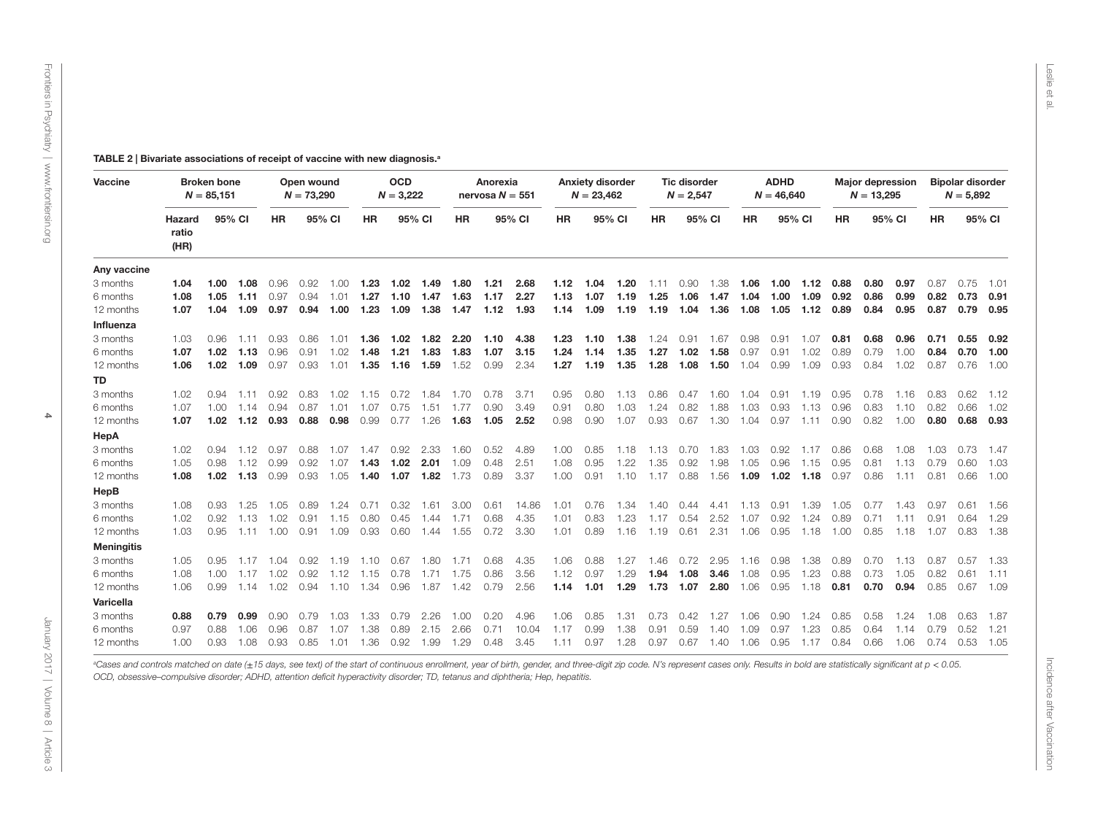TABLE 2 | Bivariate associations of receipt of vaccine with new diagnosis.<sup>a</sup>

| Vaccine           | <b>Broken bone</b><br>$N = 85,151$ |      |        |           | Open wound<br>$N = 73,290$ |        |           | <b>OCD</b><br>$N = 3,222$ |        |           | Anorexia<br>nervosa $N = 551$ |        |           | <b>Anxiety disorder</b><br>$N = 23,462$ |        |           | <b>Tic disorder</b><br>$N = 2,547$ |      |      | <b>ADHD</b><br>$N = 46,640$ |        | <b>Major depression</b><br>$N = 13,295$ |      |        |           | <b>Bipolar disorder</b><br>$N = 5,892$ |        |
|-------------------|------------------------------------|------|--------|-----------|----------------------------|--------|-----------|---------------------------|--------|-----------|-------------------------------|--------|-----------|-----------------------------------------|--------|-----------|------------------------------------|------|------|-----------------------------|--------|-----------------------------------------|------|--------|-----------|----------------------------------------|--------|
|                   | Hazard<br>ratio<br>(HR)            |      | 95% CI | <b>HR</b> |                            | 95% CI | <b>HR</b> |                           | 95% CI | <b>HR</b> |                               | 95% CI | <b>HR</b> |                                         | 95% CI | <b>HR</b> | 95% CI                             |      | HR   |                             | 95% CI | <b>HR</b>                               |      | 95% CI | <b>HR</b> |                                        | 95% CI |
| Any vaccine       |                                    |      |        |           |                            |        |           |                           |        |           |                               |        |           |                                         |        |           |                                    |      |      |                             |        |                                         |      |        |           |                                        |        |
| 3 months          | 1.04                               | 1.00 | 1.08   | 0.96      | 0.92                       | 1.00   | 1.23      | 1.02                      | 1.49   | 1.80      | 1.21                          | 2.68   | 1.12      | 1.04                                    | 1.20   | 1.11      | 0.90                               | 1.38 | 1.06 | 1.00                        | 1.12   | 0.88                                    | 0.80 | 0.97   | 0.87      | 0.75                                   | 1.01   |
| 6 months          | 1.08                               | 1.05 | 1.11   | 0.97      | 0.94                       | 1.01   | 1.27      | 1.10                      | 1.47   | 1.63      | 1.17                          | 2.27   | 1.13      | 1.07                                    | 1.19   | 1.25      | 1.06                               | 1.47 | 1.04 | 1.00                        | 1.09   | 0.92                                    | 0.86 | 0.99   | 0.82      | 0.73                                   | 0.91   |
| 12 months         | 1.07                               | 1.04 | 1.09   | 0.97      | 0.94                       | 1.00   | 1.23      | 1.09                      | 1.38   | 1.47      | 1.12                          | 1.93   | 1.14      | 1.09                                    | 1.19   | 1.19      | 1.04                               | 1.36 | 1.08 | 1.05                        | 1.12   | 0.89                                    | 0.84 | 0.95   | 0.87      | 0.79                                   | 0.95   |
| Influenza         |                                    |      |        |           |                            |        |           |                           |        |           |                               |        |           |                                         |        |           |                                    |      |      |                             |        |                                         |      |        |           |                                        |        |
| 3 months          | 1.03                               | 0.96 | 1.11   | 0.93      | 0.86                       | 1.01   | 1.36      | 1.02                      | 1.82   | 2.20      | 1.10                          | 4.38   | 1.23      | 1.10                                    | 1.38   | 1.24      | 0.91                               | 1.67 | 0.98 | 0.91                        | 1.07   | 0.81                                    | 0.68 | 0.96   | 0.71      | 0.55                                   | 0.92   |
| 6 months          | 1.07                               | 1.02 | 1.13   | 0.96      | 0.91                       | 1.02   | 1.48      | 1.21                      | 1.83   | 1.83      | 1.07                          | 3.15   | 1.24      | 1.14                                    | 1.35   | 1.27      | 1.02                               | 1.58 | 0.97 | 0.91                        | 1.02   | 0.89                                    | 0.79 | 1.00   | 0.84      | 0.70                                   | 1.00   |
| 12 months         | 1.06                               | 1.02 | 1.09   | 0.97      | 0.93                       | 1.01   | 1.35      | 1.16                      | 1.59   | 1.52      | 0.99                          | 2.34   | 1.27      | 1.19                                    | 1.35   | 1.28      | 1.08                               | 1.50 | 1.04 | 0.99                        | 1.09   | 0.93                                    | 0.84 | 1.02   | 0.87      | 0.76                                   | 1.00   |
| <b>TD</b>         |                                    |      |        |           |                            |        |           |                           |        |           |                               |        |           |                                         |        |           |                                    |      |      |                             |        |                                         |      |        |           |                                        |        |
| 3 months          | 1.02                               | 0.94 | 1.11   | 0.92      | 0.83                       | 1.02   | 1.15      | 0.72                      | 1.84   | 1.70      | 0.78                          | 3.71   | 0.95      | 0.80                                    | 1.13   | 0.86      | 0.47                               | 1.60 | 1.04 | 0.91                        | 1.19   | 0.95                                    | 0.78 | 1.16   | 0.83      | 0.62                                   | 1.12   |
| 6 months          | 1.07                               | 1.00 | 1.14   | 0.94      | 0.87                       | 1.01   | 1.07      | 0.75                      | 1.51   | 1.77      | 0.90                          | 3.49   | 0.91      | 0.80                                    | 1.03   | 1.24      | 0.82                               | 1.88 | 1.03 | 0.93                        | 1.13   | 0.96                                    | 0.83 | 1.10   | 0.82      | 0.66                                   | 1.02   |
| 12 months         | 1.07                               | 1.02 | 1.12   | 0.93      | 0.88                       | 0.98   | 0.99      | 0.77                      | 1.26   | 1.63      | 1.05                          | 2.52   | 0.98      | 0.90                                    | 1.07   | 0.93      | 0.67                               | 1.30 | 1.04 | 0.97                        | 1.11   | 0.90                                    | 0.82 | 1.00   | 0.80      | 0.68                                   | 0.93   |
| HepA              |                                    |      |        |           |                            |        |           |                           |        |           |                               |        |           |                                         |        |           |                                    |      |      |                             |        |                                         |      |        |           |                                        |        |
| 3 months          | 1.02                               | 0.94 | 1.12   | 0.97      | 0.88                       | 1.07   | 1.47      | 0.92                      | 2.33   | 1.60      | 0.52                          | 4.89   | 1.00      | 0.85                                    | 1.18   | 1.13      | 0.70                               | 1.83 | 1.03 | 0.92                        | 1.17   | 0.86                                    | 0.68 | 1.08   | 1.03      | 0.73                                   | 1.47   |
| 6 months          | 1.05                               | 0.98 | 1.12   | 0.99      | 0.92                       | 1.07   | 1.43      | 1.02                      | 2.01   | 1.09      | 0.48                          | 2.51   | 1.08      | 0.95                                    | 1.22   | 1.35      | 0.92                               | 1.98 | 1.05 | 0.96                        | 1.15   | 0.95                                    | 0.81 | 1.13   | 0.79      | 0.60                                   | 1.03   |
| 12 months         | 1.08                               | 1.02 | 1.13   | 0.99      | 0.93                       | 1.05   | 1.40      | 1.07                      | 1.82   | 1.73      | 0.89                          | 3.37   | 1.00      | 0.91                                    | 1.10   | 1.17      | 0.88                               | 1.56 | 1.09 | 1.02                        | 1.18   | 0.97                                    | 0.86 | 1.11   | 0.81      | 0.66                                   | 1.00   |
| HepB              |                                    |      |        |           |                            |        |           |                           |        |           |                               |        |           |                                         |        |           |                                    |      |      |                             |        |                                         |      |        |           |                                        |        |
| 3 months          | 1.08                               | 0.93 | 1.25   | 1.05      | 0.89                       | 1.24   | 0.71      | 0.32                      | 1.61   | 3.00      | 0.61                          | 14.86  | 1.01      | 0.76                                    | 1.34   | 1.40      | 0.44                               | 4.41 | 1.13 | 0.91                        | 1.39   | 1.05                                    | 0.77 | 1.43   | 0.97      | 0.61                                   | 1.56   |
| 6 months          | 1.02                               | 0.92 | 1.13   | 1.02      | 0.91                       | 1.15   | 0.80      | 0.45                      | 1.44   | 1.71      | 0.68                          | 4.35   | 1.01      | 0.83                                    | 1.23   | 1.17      | 0.54                               | 2.52 | 1.07 | 0.92                        | 1.24   | 0.89                                    | 0.71 | 1.11   | 0.91      | 0.64                                   | 1.29   |
| 12 months         | 1.03                               | 0.95 | 1.11   | 1.00      | 0.91                       | 1.09   | 0.93      | 0.60                      | 1.44   | 1.55      | 0.72                          | 3.30   | 1.01      | 0.89                                    | 1.16   | 1.19      | 0.61                               | 2.31 | 1.06 | 0.95                        | 1.18   | 1.00                                    | 0.85 | 1.18   | 1.07      | 0.83                                   | 1.38   |
| <b>Meningitis</b> |                                    |      |        |           |                            |        |           |                           |        |           |                               |        |           |                                         |        |           |                                    |      |      |                             |        |                                         |      |        |           |                                        |        |
| 3 months          | 1.05                               | 0.95 | 1.17   | 1.04      | 0.92                       | 1.19   | 1.10      | 0.67                      | 1.80   | 1.71      | 0.68                          | 4.35   | 1.06      | 0.88                                    | 1.27   | 1.46      | 0.72                               | 2.95 | 1.16 | 0.98                        | 1.38   | 0.89                                    | 0.70 | 1.13   | 0.87      | 0.57                                   | 1.33   |
| 6 months          | 1.08                               | 1.00 | 1.17   | 1.02      | 0.92                       | 1.12   | 1.15      | 0.78                      | 1.71   | 1.75      | 0.86                          | 3.56   | 1.12      | 0.97                                    | 1.29   | 1.94      | 1.08                               | 3.46 | 1.08 | 0.95                        | 1.23   | 0.88                                    | 0.73 | 1.05   | 0.82      | 0.61                                   | 1.11   |
| 12 months         | 1.06                               | 0.99 | 1.14   | 1.02      | 0.94                       | 1.10   | 1.34      | 0.96                      | 1.87   | 1.42      | 0.79                          | 2.56   | 1.14      | 1.01                                    | 1.29   | 1.73      | 1.07                               | 2.80 | 1.06 | 0.95                        | 1.18   | 0.81                                    | 0.70 | 0.94   | 0.85      | 0.67                                   | 1.09   |
| Varicella         |                                    |      |        |           |                            |        |           |                           |        |           |                               |        |           |                                         |        |           |                                    |      |      |                             |        |                                         |      |        |           |                                        |        |
| 3 months          | 0.88                               | 0.79 | 0.99   | 0.90      | 0.79                       | 1.03   | 1.33      | 0.79                      | 2.26   | 1.00      | 0.20                          | 4.96   | 1.06      | 0.85                                    | 1.31   | 0.73      | 0.42                               | .27  | 1.06 | 0.90                        | 1.24   | 0.85                                    | 0.58 | 1.24   | 1.08      | 0.63                                   | 1.87   |
| 6 months          | 0.97                               | 0.88 | 1.06   | 0.96      | 0.87                       | 1.07   | 1.38      | 0.89                      | 2.15   | 2.66      | 0.71                          | 10.04  | 1.17      | 0.99                                    | 1.38   | 0.91      | 0.59                               | 1.40 | 1.09 | 0.97                        | 1.23   | 0.85                                    | 0.64 | 1.14   | 0.79      | 0.52                                   | 1.21   |
| 12 months         | 1.00                               | 0.93 | 1.08   | 0.93      | 0.85                       | 1.01   | 1.36      | 0.92                      | 1.99   | 1.29      | 0.48                          | 3.45   | 1.11      | 0.97                                    | 1.28   | 0.97      | 0.67                               | 1.40 | 1.06 | 0.95                        | 1.17   | 0.84                                    | 0.66 | 1.06   | 0.74      | 0.53                                   | 1.05   |

<span id="page-3-0"></span>"Cases and controls matched on date (±15 days, see text) of the start of continuous enrollment, year of birth, gender, and three-digit zip code. N's represent cases only. Results in bold are statistically significant at p *OCD, obsessive–compulsive disorder; ADHD, attention deficit hyperactivity disorder; TD, tetanus and diphtheria; Hep, hepatitis.*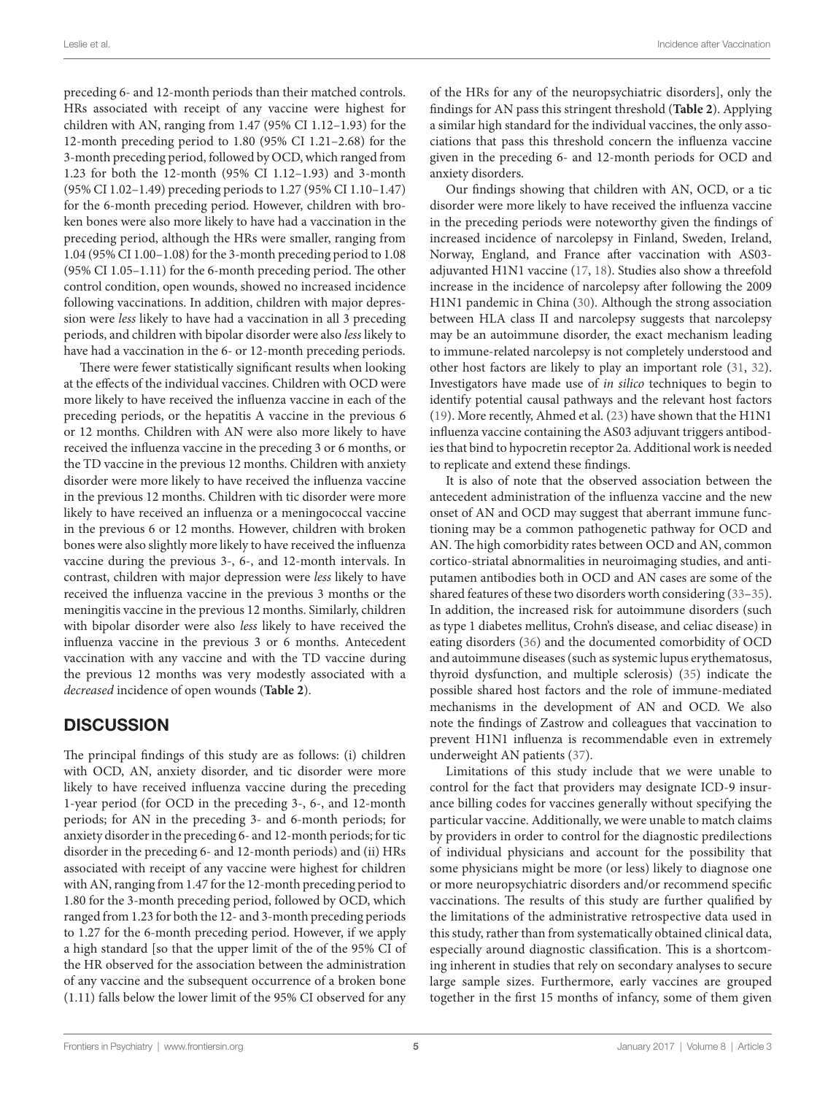preceding 6- and 12-month periods than their matched controls. HRs associated with receipt of any vaccine were highest for children with AN, ranging from 1.47 (95% CI 1.12–1.93) for the 12-month preceding period to 1.80 (95% CI 1.21–2.68) for the 3-month preceding period, followed by OCD, which ranged from 1.23 for both the 12-month (95% CI 1.12–1.93) and 3-month (95% CI 1.02–1.49) preceding periods to 1.27 (95% CI 1.10–1.47) for the 6-month preceding period. However, children with broken bones were also more likely to have had a vaccination in the preceding period, although the HRs were smaller, ranging from 1.04 (95% CI 1.00–1.08) for the 3-month preceding period to 1.08 (95% CI 1.05–1.11) for the 6-month preceding period. The other control condition, open wounds, showed no increased incidence following vaccinations. In addition, children with major depression were *less* likely to have had a vaccination in all 3 preceding periods, and children with bipolar disorder were also *less* likely to have had a vaccination in the 6- or 12-month preceding periods.

There were fewer statistically significant results when looking at the effects of the individual vaccines. Children with OCD were more likely to have received the influenza vaccine in each of the preceding periods, or the hepatitis A vaccine in the previous 6 or 12 months. Children with AN were also more likely to have received the influenza vaccine in the preceding 3 or 6 months, or the TD vaccine in the previous 12 months. Children with anxiety disorder were more likely to have received the influenza vaccine in the previous 12 months. Children with tic disorder were more likely to have received an influenza or a meningococcal vaccine in the previous 6 or 12 months. However, children with broken bones were also slightly more likely to have received the influenza vaccine during the previous 3-, 6-, and 12-month intervals. In contrast, children with major depression were *less* likely to have received the influenza vaccine in the previous 3 months or the meningitis vaccine in the previous 12 months. Similarly, children with bipolar disorder were also *less* likely to have received the influenza vaccine in the previous 3 or 6 months. Antecedent vaccination with any vaccine and with the TD vaccine during the previous 12 months was very modestly associated with a *decreased* incidence of open wounds (**[Table 2](#page-3-0)**).

## **DISCUSSION**

The principal findings of this study are as follows: (i) children with OCD, AN, anxiety disorder, and tic disorder were more likely to have received influenza vaccine during the preceding 1-year period (for OCD in the preceding 3-, 6-, and 12-month periods; for AN in the preceding 3- and 6-month periods; for anxiety disorder in the preceding 6- and 12-month periods; for tic disorder in the preceding 6- and 12-month periods) and (ii) HRs associated with receipt of any vaccine were highest for children with AN, ranging from 1.47 for the 12-month preceding period to 1.80 for the 3-month preceding period, followed by OCD, which ranged from 1.23 for both the 12- and 3-month preceding periods to 1.27 for the 6-month preceding period. However, if we apply a high standard [so that the upper limit of the of the 95% CI of the HR observed for the association between the administration of any vaccine and the subsequent occurrence of a broken bone (1.11) falls below the lower limit of the 95% CI observed for any of the HRs for any of the neuropsychiatric disorders], only the findings for AN pass this stringent threshold (**[Table 2](#page-3-0)**). Applying a similar high standard for the individual vaccines, the only associations that pass this threshold concern the influenza vaccine given in the preceding 6- and 12-month periods for OCD and anxiety disorders.

Our findings showing that children with AN, OCD, or a tic disorder were more likely to have received the influenza vaccine in the preceding periods were noteworthy given the findings of increased incidence of narcolepsy in Finland, Sweden, Ireland, Norway, England, and France after vaccination with AS03 adjuvanted H1N1 vaccine ([17,](#page-6-13) [18\)](#page-6-14). Studies also show a threefold increase in the incidence of narcolepsy after following the 2009 H1N1 pandemic in China [\(30](#page-6-18)). Although the strong association between HLA class II and narcolepsy suggests that narcolepsy may be an autoimmune disorder, the exact mechanism leading to immune-related narcolepsy is not completely understood and other host factors are likely to play an important role ([31](#page-6-19), [32](#page-6-20)). Investigators have made use of *in silico* techniques to begin to identify potential causal pathways and the relevant host factors [\(19\)](#page-6-21). More recently, Ahmed et al. [\(23](#page-6-15)) have shown that the H1N1 influenza vaccine containing the AS03 adjuvant triggers antibodies that bind to hypocretin receptor 2a. Additional work is needed to replicate and extend these findings.

It is also of note that the observed association between the antecedent administration of the influenza vaccine and the new onset of AN and OCD may suggest that aberrant immune functioning may be a common pathogenetic pathway for OCD and AN. The high comorbidity rates between OCD and AN, common cortico-striatal abnormalities in neuroimaging studies, and antiputamen antibodies both in OCD and AN cases are some of the shared features of these two disorders worth considering [\(33](#page-6-22)[–35](#page-6-23)). In addition, the increased risk for autoimmune disorders (such as type 1 diabetes mellitus, Crohn's disease, and celiac disease) in eating disorders ([36](#page-6-24)) and the documented comorbidity of OCD and autoimmune diseases (such as systemic lupus erythematosus, thyroid dysfunction, and multiple sclerosis) ([35](#page-6-23)) indicate the possible shared host factors and the role of immune-mediated mechanisms in the development of AN and OCD. We also note the findings of Zastrow and colleagues that vaccination to prevent H1N1 influenza is recommendable even in extremely underweight AN patients ([37\)](#page-6-25).

Limitations of this study include that we were unable to control for the fact that providers may designate ICD-9 insurance billing codes for vaccines generally without specifying the particular vaccine. Additionally, we were unable to match claims by providers in order to control for the diagnostic predilections of individual physicians and account for the possibility that some physicians might be more (or less) likely to diagnose one or more neuropsychiatric disorders and/or recommend specific vaccinations. The results of this study are further qualified by the limitations of the administrative retrospective data used in this study, rather than from systematically obtained clinical data, especially around diagnostic classification. This is a shortcoming inherent in studies that rely on secondary analyses to secure large sample sizes. Furthermore, early vaccines are grouped together in the first 15 months of infancy, some of them given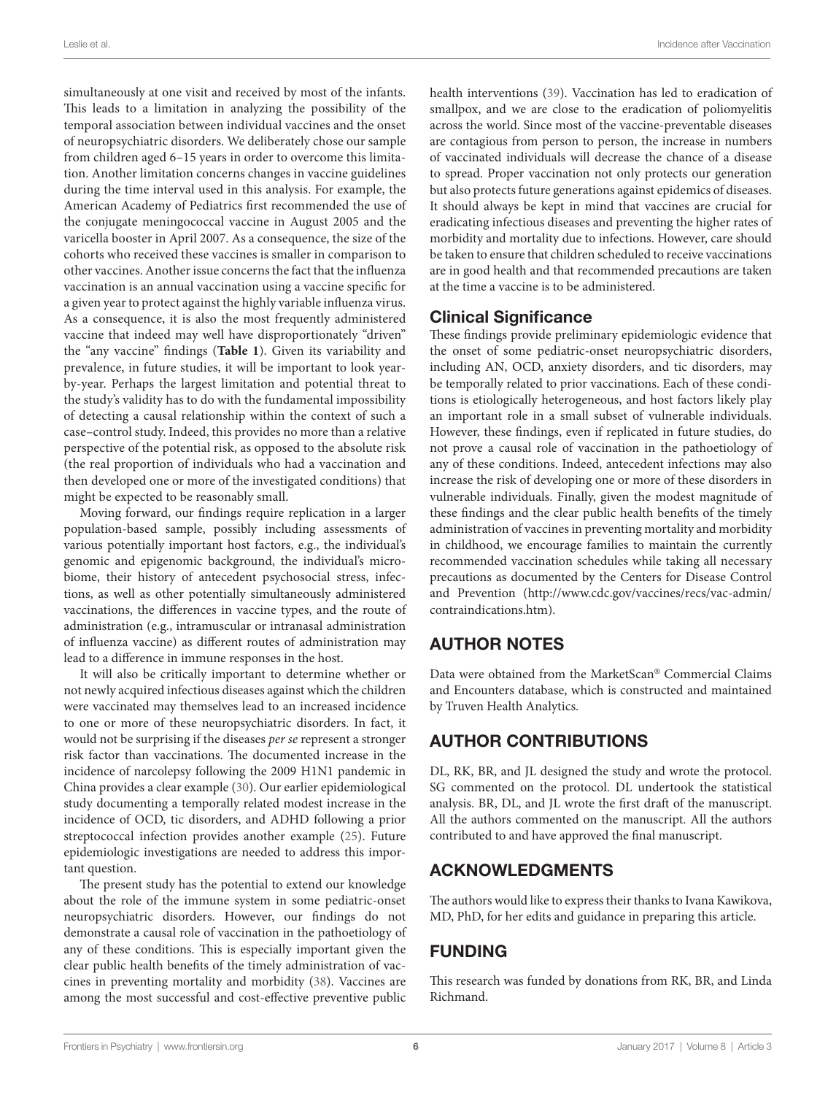simultaneously at one visit and received by most of the infants. This leads to a limitation in analyzing the possibility of the temporal association between individual vaccines and the onset of neuropsychiatric disorders. We deliberately chose our sample from children aged 6–15 years in order to overcome this limitation. Another limitation concerns changes in vaccine guidelines during the time interval used in this analysis. For example, the American Academy of Pediatrics first recommended the use of the conjugate meningococcal vaccine in August 2005 and the varicella booster in April 2007. As a consequence, the size of the cohorts who received these vaccines is smaller in comparison to other vaccines. Another issue concerns the fact that the influenza vaccination is an annual vaccination using a vaccine specific for a given year to protect against the highly variable influenza virus. As a consequence, it is also the most frequently administered vaccine that indeed may well have disproportionately "driven" the "any vaccine" findings (**[Table 1](#page-2-0)**). Given its variability and prevalence, in future studies, it will be important to look yearby-year. Perhaps the largest limitation and potential threat to the study's validity has to do with the fundamental impossibility of detecting a causal relationship within the context of such a case–control study. Indeed, this provides no more than a relative perspective of the potential risk, as opposed to the absolute risk (the real proportion of individuals who had a vaccination and then developed one or more of the investigated conditions) that might be expected to be reasonably small.

Moving forward, our findings require replication in a larger population-based sample, possibly including assessments of various potentially important host factors, e.g., the individual's genomic and epigenomic background, the individual's microbiome, their history of antecedent psychosocial stress, infections, as well as other potentially simultaneously administered vaccinations, the differences in vaccine types, and the route of administration (e.g., intramuscular or intranasal administration of influenza vaccine) as different routes of administration may lead to a difference in immune responses in the host.

It will also be critically important to determine whether or not newly acquired infectious diseases against which the children were vaccinated may themselves lead to an increased incidence to one or more of these neuropsychiatric disorders. In fact, it would not be surprising if the diseases *per se* represent a stronger risk factor than vaccinations. The documented increase in the incidence of narcolepsy following the 2009 H1N1 pandemic in China provides a clear example [\(30](#page-6-18)). Our earlier epidemiological study documenting a temporally related modest increase in the incidence of OCD, tic disorders, and ADHD following a prior streptococcal infection provides another example ([25\)](#page-6-26). Future epidemiologic investigations are needed to address this important question.

The present study has the potential to extend our knowledge about the role of the immune system in some pediatric-onset neuropsychiatric disorders. However, our findings do not demonstrate a causal role of vaccination in the pathoetiology of any of these conditions. This is especially important given the clear public health benefits of the timely administration of vaccines in preventing mortality and morbidity [\(38\)](#page-6-27). Vaccines are among the most successful and cost-effective preventive public health interventions ([39\)](#page-7-0). Vaccination has led to eradication of smallpox, and we are close to the eradication of poliomyelitis across the world. Since most of the vaccine-preventable diseases are contagious from person to person, the increase in numbers of vaccinated individuals will decrease the chance of a disease to spread. Proper vaccination not only protects our generation but also protects future generations against epidemics of diseases. It should always be kept in mind that vaccines are crucial for eradicating infectious diseases and preventing the higher rates of morbidity and mortality due to infections. However, care should be taken to ensure that children scheduled to receive vaccinations are in good health and that recommended precautions are taken at the time a vaccine is to be administered.

## Clinical Significance

These findings provide preliminary epidemiologic evidence that the onset of some pediatric-onset neuropsychiatric disorders, including AN, OCD, anxiety disorders, and tic disorders, may be temporally related to prior vaccinations. Each of these conditions is etiologically heterogeneous, and host factors likely play an important role in a small subset of vulnerable individuals. However, these findings, even if replicated in future studies, do not prove a causal role of vaccination in the pathoetiology of any of these conditions. Indeed, antecedent infections may also increase the risk of developing one or more of these disorders in vulnerable individuals. Finally, given the modest magnitude of these findings and the clear public health benefits of the timely administration of vaccines in preventing mortality and morbidity in childhood, we encourage families to maintain the currently recommended vaccination schedules while taking all necessary precautions as documented by the Centers for Disease Control and Prevention [\(http://www.cdc.gov/vaccines/recs/vac-admin/](http://www.cdc.gov/vaccines/recs/vac-admin/contraindications.htm) [contraindications.htm](http://www.cdc.gov/vaccines/recs/vac-admin/contraindications.htm)).

# AUTHOR NOTES

Data were obtained from the MarketScan® Commercial Claims and Encounters database, which is constructed and maintained by Truven Health Analytics.

# AUTHOR CONTRIBUTIONS

DL, RK, BR, and JL designed the study and wrote the protocol. SG commented on the protocol. DL undertook the statistical analysis. BR, DL, and JL wrote the first draft of the manuscript. All the authors commented on the manuscript. All the authors contributed to and have approved the final manuscript.

# ACKNOWLEDGMENTS

The authors would like to express their thanks to Ivana Kawikova, MD, PhD, for her edits and guidance in preparing this article.

# FUNDING

This research was funded by donations from RK, BR, and Linda Richmand.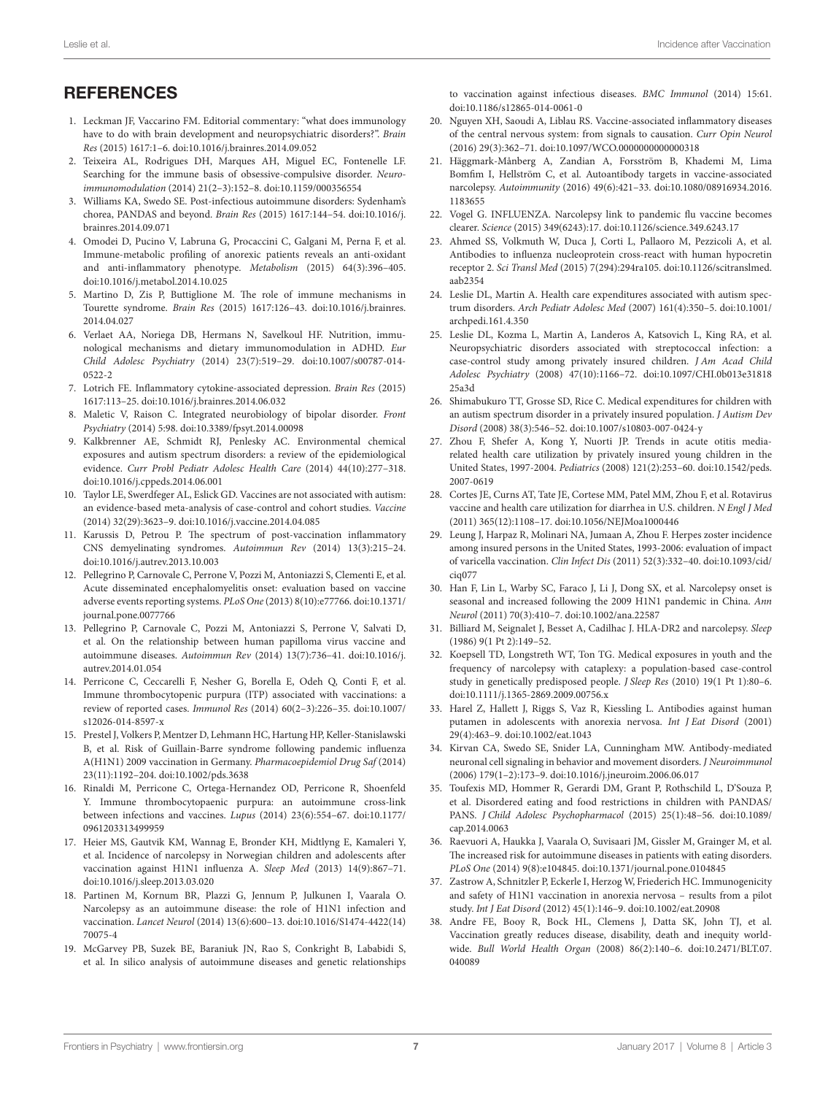## **REFERENCES**

- <span id="page-6-0"></span>1. Leckman JF, Vaccarino FM. Editorial commentary: "what does immunology have to do with brain development and neuropsychiatric disorders?". *Brain Res* (2015) 1617:1–6. doi[:10.1016/j.brainres.2014.09.052](https://doi.org/10.1016/j.brainres.2014.09.052)
- <span id="page-6-1"></span>2. Teixeira AL, Rodrigues DH, Marques AH, Miguel EC, Fontenelle LF. Searching for the immune basis of obsessive-compulsive disorder. *Neuroimmunomodulation* (2014) 21(2–3):152–8. doi:[10.1159/000356554](https://doi.org/10.1159/000356554)
- <span id="page-6-2"></span>3. Williams KA, Swedo SE. Post-infectious autoimmune disorders: Sydenham's chorea, PANDAS and beyond. *Brain Res* (2015) 1617:144–54. doi:[10.1016/j.](https://doi.org/10.1016/j.brainres.2014.09.071) [brainres.2014.09.071](https://doi.org/10.1016/j.brainres.2014.09.071)
- <span id="page-6-3"></span>4. Omodei D, Pucino V, Labruna G, Procaccini C, Galgani M, Perna F, et al. Immune-metabolic profiling of anorexic patients reveals an anti-oxidant and anti-inflammatory phenotype. *Metabolism* (2015) 64(3):396–405. doi:[10.1016/j.metabol.2014.10.025](https://doi.org/10.1016/j.metabol.2014.10.025)
- <span id="page-6-4"></span>5. Martino D, Zis P, Buttiglione M. The role of immune mechanisms in Tourette syndrome. *Brain Res* (2015) 1617:126–43. doi:[10.1016/j.brainres.](https://doi.org/10.1016/j.brainres.2014.04.027) [2014.04.027](https://doi.org/10.1016/j.brainres.2014.04.027)
- <span id="page-6-5"></span>6. Verlaet AA, Noriega DB, Hermans N, Savelkoul HF. Nutrition, immunological mechanisms and dietary immunomodulation in ADHD. *Eur Child Adolesc Psychiatry* (2014) 23(7):519–29. doi[:10.1007/s00787-014-](https://doi.org/10.1007/s00787-014-0522-2) [0522-2](https://doi.org/10.1007/s00787-014-0522-2)
- <span id="page-6-6"></span>7. Lotrich FE. Inflammatory cytokine-associated depression. *Brain Res* (2015) 1617:113–25. doi[:10.1016/j.brainres.2014.06.032](https://doi.org/10.1016/j.brainres.2014.06.032)
- <span id="page-6-7"></span>8. Maletic V, Raison C. Integrated neurobiology of bipolar disorder. *Front Psychiatry* (2014) 5:98. doi:[10.3389/fpsyt.2014.00098](https://doi.org/10.3389/fpsyt.2014.00098)
- <span id="page-6-8"></span>9. Kalkbrenner AE, Schmidt RJ, Penlesky AC. Environmental chemical exposures and autism spectrum disorders: a review of the epidemiological evidence. *Curr Probl Pediatr Adolesc Health Care* (2014) 44(10):277–318. doi:[10.1016/j.cppeds.2014.06.001](https://doi.org/10.1016/j.cppeds.2014.06.001)
- <span id="page-6-9"></span>10. Taylor LE, Swerdfeger AL, Eslick GD. Vaccines are not associated with autism: an evidence-based meta-analysis of case-control and cohort studies. *Vaccine* (2014) 32(29):3623–9. doi:[10.1016/j.vaccine.2014.04.085](https://doi.org/10.1016/j.vaccine.2014.04.085)
- <span id="page-6-10"></span>11. Karussis D, Petrou P. The spectrum of post-vaccination inflammatory CNS demyelinating syndromes. *Autoimmun Rev* (2014) 13(3):215–24. doi:[10.1016/j.autrev.2013.10.003](https://doi.org/10.1016/j.autrev.2013.10.003)
- <span id="page-6-11"></span>12. Pellegrino P, Carnovale C, Perrone V, Pozzi M, Antoniazzi S, Clementi E, et al. Acute disseminated encephalomyelitis onset: evaluation based on vaccine adverse events reporting systems. *PLoS One* (2013) 8(10):e77766. doi[:10.1371/](https://doi.org/10.1371/journal.pone.0077766) [journal.pone.0077766](https://doi.org/10.1371/journal.pone.0077766)
- 13. Pellegrino P, Carnovale C, Pozzi M, Antoniazzi S, Perrone V, Salvati D, et al. On the relationship between human papilloma virus vaccine and autoimmune diseases. *Autoimmun Rev* (2014) 13(7):736–41. doi:[10.1016/j.](https://doi.org/10.1016/j.autrev.2014.01.054) autrey.2014.01.054
- 14. Perricone C, Ceccarelli F, Nesher G, Borella E, Odeh Q, Conti F, et al. Immune thrombocytopenic purpura (ITP) associated with vaccinations: a review of reported cases. *Immunol Res* (2014) 60(2–3):226–35. doi[:10.1007/](https://doi.org/10.1007/s12026-014-8597-x) [s12026-014-8597-x](https://doi.org/10.1007/s12026-014-8597-x)
- 15. Prestel J, Volkers P, Mentzer D, Lehmann HC, Hartung HP, Keller-Stanislawski B, et al. Risk of Guillain-Barre syndrome following pandemic influenza A(H1N1) 2009 vaccination in Germany. *Pharmacoepidemiol Drug Saf* (2014) 23(11):1192–204. doi:[10.1002/pds.3638](https://doi.org/10.1002/pds.3638)
- <span id="page-6-12"></span>16. Rinaldi M, Perricone C, Ortega-Hernandez OD, Perricone R, Shoenfeld Y. Immune thrombocytopaenic purpura: an autoimmune cross-link between infections and vaccines. *Lupus* (2014) 23(6):554–67. doi[:10.1177/](https://doi.org/10.1177/0961203313499959) [0961203313499959](https://doi.org/10.1177/0961203313499959)
- <span id="page-6-13"></span>17. Heier MS, Gautvik KM, Wannag E, Bronder KH, Midtlyng E, Kamaleri Y, et al. Incidence of narcolepsy in Norwegian children and adolescents after vaccination against H1N1 influenza A. *Sleep Med* (2013) 14(9):867–71. doi:[10.1016/j.sleep.2013.03.020](https://doi.org/10.1016/j.sleep.2013.03.020)
- <span id="page-6-14"></span>18. Partinen M, Kornum BR, Plazzi G, Jennum P, Julkunen I, Vaarala O. Narcolepsy as an autoimmune disease: the role of H1N1 infection and vaccination. *Lancet Neurol* (2014) 13(6):600–13. doi:[10.1016/S1474-4422\(14\)](https://doi.org/10.1016/S1474-4422(14)70075-4) [70075-4](https://doi.org/10.1016/S1474-4422(14)70075-4)
- <span id="page-6-21"></span>19. McGarvey PB, Suzek BE, Baraniuk JN, Rao S, Conkright B, Lababidi S, et al. In silico analysis of autoimmune diseases and genetic relationships

to vaccination against infectious diseases. *BMC Immunol* (2014) 15:61. doi:[10.1186/s12865-014-0061-0](https://doi.org/10.1186/s12865-014-0061-0) 

- 20. Nguyen XH, Saoudi A, Liblau RS. Vaccine-associated inflammatory diseases of the central nervous system: from signals to causation. *Curr Opin Neurol* (2016) 29(3):362–71. doi:[10.1097/WCO.0000000000000318](https://doi.org/10.1097/WCO.0000000000000318)
- 21. Häggmark-Månberg A, Zandian A, Forsström B, Khademi M, Lima Bomfim I, Hellström C, et al. Autoantibody targets in vaccine-associated narcolepsy. *Autoimmunity* (2016) 49(6):421–33. doi:[10.1080/08916934.2016.](https://doi.org/10.1080/08916934.2016.1183655) [1183655](https://doi.org/10.1080/08916934.2016.1183655)
- 22. Vogel G. INFLUENZA. Narcolepsy link to pandemic flu vaccine becomes clearer. *Science* (2015) 349(6243):17. doi:[10.1126/science.349.6243.17](https://doi.org/10.1126/science.349.6243.17)
- <span id="page-6-15"></span>23. Ahmed SS, Volkmuth W, Duca J, Corti L, Pallaoro M, Pezzicoli A, et al. Antibodies to influenza nucleoprotein cross-react with human hypocretin receptor 2. *Sci Transl Med* (2015) 7(294):294ra105. doi[:10.1126/scitranslmed.](https://doi.org/10.1126/scitranslmed.aab2354) [aab2354](https://doi.org/10.1126/scitranslmed.aab2354)
- <span id="page-6-16"></span>24. Leslie DL, Martin A. Health care expenditures associated with autism spectrum disorders. *Arch Pediatr Adolesc Med* (2007) 161(4):350–5. doi[:10.1001/](https://doi.org/10.1001/archpedi.161.4.350) [archpedi.161.4.350](https://doi.org/10.1001/archpedi.161.4.350)
- <span id="page-6-26"></span>25. Leslie DL, Kozma L, Martin A, Landeros A, Katsovich L, King RA, et al. Neuropsychiatric disorders associated with streptococcal infection: a case-control study among privately insured children. *J Am Acad Child Adolesc Psychiatry* (2008) 47(10):1166–72. doi:[10.1097/CHI.0b013e31818](https://doi.org/10.1097/CHI.0b013e3181825a3d) [25a3d](https://doi.org/10.1097/CHI.0b013e3181825a3d)
- 26. Shimabukuro TT, Grosse SD, Rice C. Medical expenditures for children with an autism spectrum disorder in a privately insured population. *J Autism Dev Disord* (2008) 38(3):546–52. doi[:10.1007/s10803-007-0424-y](https://doi.org/10.1007/s10803-007-0424-y)
- 27. Zhou F, Shefer A, Kong Y, Nuorti JP. Trends in acute otitis mediarelated health care utilization by privately insured young children in the United States, 1997-2004. *Pediatrics* (2008) 121(2):253–60. doi:[10.1542/peds.](https://doi.org/10.1542/peds.2007-0619) [2007-0619](https://doi.org/10.1542/peds.2007-0619)
- 28. Cortes JE, Curns AT, Tate JE, Cortese MM, Patel MM, Zhou F, et al. Rotavirus vaccine and health care utilization for diarrhea in U.S. children. *N Engl J Med* (2011) 365(12):1108–17. doi:[10.1056/NEJMoa1000446](https://doi.org/10.1056/NEJMoa1000446)
- <span id="page-6-17"></span>29. Leung J, Harpaz R, Molinari NA, Jumaan A, Zhou F. Herpes zoster incidence among insured persons in the United States, 1993-2006: evaluation of impact of varicella vaccination. *Clin Infect Dis* (2011) 52(3):332–40. doi:[10.1093/cid/](https://doi.org/10.1093/cid/ciq077) [ciq077](https://doi.org/10.1093/cid/ciq077)
- <span id="page-6-18"></span>30. Han F, Lin L, Warby SC, Faraco J, Li J, Dong SX, et al. Narcolepsy onset is seasonal and increased following the 2009 H1N1 pandemic in China. *Ann Neurol* (2011) 70(3):410–7. doi:[10.1002/ana.22587](https://doi.org/10.1002/ana.22587)
- <span id="page-6-19"></span>31. Billiard M, Seignalet J, Besset A, Cadilhac J. HLA-DR2 and narcolepsy. *Sleep* (1986) 9(1 Pt 2):149–52.
- <span id="page-6-20"></span>32. Koepsell TD, Longstreth WT, Ton TG. Medical exposures in youth and the frequency of narcolepsy with cataplexy: a population-based case-control study in genetically predisposed people. *J Sleep Res* (2010) 19(1 Pt 1):80–6. doi:[10.1111/j.1365-2869.2009.00756.x](https://doi.org/10.1111/j.1365-2869.2009.00756.x)
- <span id="page-6-22"></span>33. Harel Z, Hallett J, Riggs S, Vaz R, Kiessling L. Antibodies against human putamen in adolescents with anorexia nervosa. *Int J Eat Disord* (2001) 29(4):463–9. doi:[10.1002/eat.1043](https://doi.org/10.1002/eat.1043)
- 34. Kirvan CA, Swedo SE, Snider LA, Cunningham MW. Antibody-mediated neuronal cell signaling in behavior and movement disorders. *J Neuroimmunol* (2006) 179(1–2):173–9. doi[:10.1016/j.jneuroim.2006.06.017](https://doi.org/10.1016/j.jneuroim.2006.06.017)
- <span id="page-6-23"></span>35. Toufexis MD, Hommer R, Gerardi DM, Grant P, Rothschild L, D'Souza P, et al. Disordered eating and food restrictions in children with PANDAS/ PANS. *J Child Adolesc Psychopharmacol* (2015) 25(1):48–56. doi[:10.1089/](https://doi.org/10.1089/cap.2014.0063) [cap.2014.0063](https://doi.org/10.1089/cap.2014.0063)
- <span id="page-6-24"></span>36. Raevuori A, Haukka J, Vaarala O, Suvisaari JM, Gissler M, Grainger M, et al. The increased risk for autoimmune diseases in patients with eating disorders. *PLoS One* (2014) 9(8):e104845. doi:[10.1371/journal.pone.0104845](https://doi.org/10.1371/journal.pone.0104845)
- <span id="page-6-25"></span>37. Zastrow A, Schnitzler P, Eckerle I, Herzog W, Friederich HC. Immunogenicity and safety of H1N1 vaccination in anorexia nervosa – results from a pilot study. *Int J Eat Disord* (2012) 45(1):146–9. doi:[10.1002/eat.20908](https://doi.org/10.1002/eat.20908)
- <span id="page-6-27"></span>38. Andre FE, Booy R, Bock HL, Clemens J, Datta SK, John TJ, et al. Vaccination greatly reduces disease, disability, death and inequity worldwide. *Bull World Health Organ* (2008) 86(2):140–6. doi:[10.2471/BLT.07.](https://doi.org/10.2471/BLT.07.040089) 040089